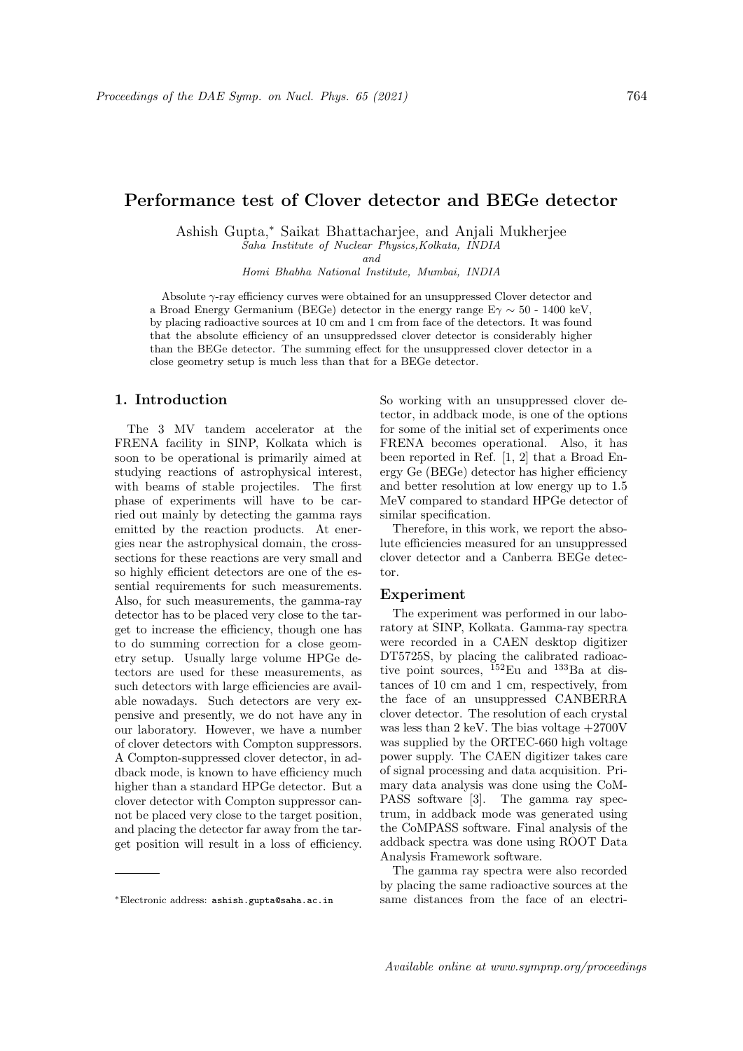# Performance test of Clover detector and BEGe detector

Ashish Gupta,<sup>∗</sup> Saikat Bhattacharjee, and Anjali Mukherjee Saha Institute of Nuclear Physics,Kolkata, INDIA

and

Homi Bhabha National Institute, Mumbai, INDIA

Absolute γ-ray efficiency curves were obtained for an unsuppressed Clover detector and a Broad Energy Germanium (BEGe) detector in the energy range  $E\gamma \sim 50$  - 1400 keV, by placing radioactive sources at 10 cm and 1 cm from face of the detectors. It was found that the absolute efficiency of an unsuppredssed clover detector is considerably higher than the BEGe detector. The summing effect for the unsuppressed clover detector in a close geometry setup is much less than that for a BEGe detector.

## 1. Introduction

The 3 MV tandem accelerator at the FRENA facility in SINP, Kolkata which is soon to be operational is primarily aimed at studying reactions of astrophysical interest, with beams of stable projectiles. The first phase of experiments will have to be carried out mainly by detecting the gamma rays emitted by the reaction products. At energies near the astrophysical domain, the crosssections for these reactions are very small and so highly efficient detectors are one of the essential requirements for such measurements. Also, for such measurements, the gamma-ray detector has to be placed very close to the target to increase the efficiency, though one has to do summing correction for a close geometry setup. Usually large volume HPGe detectors are used for these measurements, as such detectors with large efficiencies are available nowadays. Such detectors are very expensive and presently, we do not have any in our laboratory. However, we have a number of clover detectors with Compton suppressors. A Compton-suppressed clover detector, in addback mode, is known to have efficiency much higher than a standard HPGe detector. But a clover detector with Compton suppressor cannot be placed very close to the target position, and placing the detector far away from the target position will result in a loss of efficiency.

So working with an unsuppressed clover detector, in addback mode, is one of the options for some of the initial set of experiments once FRENA becomes operational. Also, it has been reported in Ref. [1, 2] that a Broad Energy Ge (BEGe) detector has higher efficiency and better resolution at low energy up to 1.5 MeV compared to standard HPGe detector of similar specification.

Therefore, in this work, we report the absolute efficiencies measured for an unsuppressed clover detector and a Canberra BEGe detector.

### Experiment

The experiment was performed in our laboratory at SINP, Kolkata. Gamma-ray spectra were recorded in a CAEN desktop digitizer DT5725S, by placing the calibrated radioactive point sources, <sup>152</sup>Eu and <sup>133</sup>Ba at distances of 10 cm and 1 cm, respectively, from the face of an unsuppressed CANBERRA clover detector. The resolution of each crystal was less than 2 keV. The bias voltage +2700V was supplied by the ORTEC-660 high voltage power supply. The CAEN digitizer takes care of signal processing and data acquisition. Primary data analysis was done using the CoM-PASS software [3]. The gamma ray spectrum, in addback mode was generated using the CoMPASS software. Final analysis of the addback spectra was done using ROOT Data Analysis Framework software.

The gamma ray spectra were also recorded by placing the same radioactive sources at the same distances from the face of an electri-

<sup>∗</sup>Electronic address: ashish.gupta@saha.ac.in